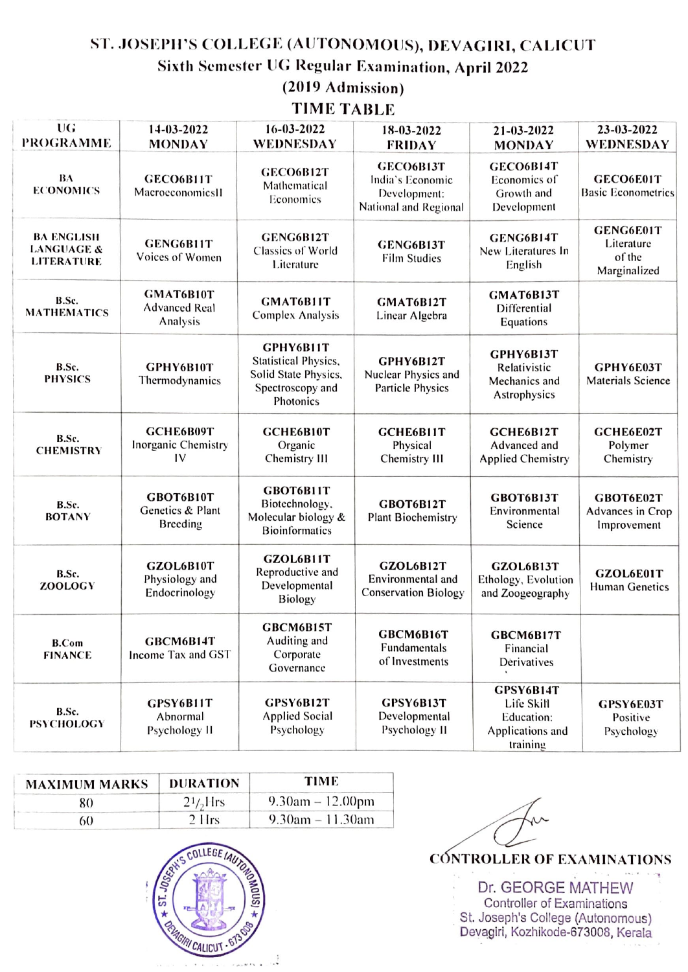## ST. JOSEPH'S COLLEGE (AUTONOMOUS), DEVAGIRI, CALICUT Sixth Semester UG Regular Examination, April 2022

(2019 Admission)

## **TIME TABLE**

| UG<br><b>PROGRAMME</b>                                          | 14-03-2022<br><b>MONDAY</b>                   | 16-03-2022<br>WEDNESDAY                                                                           | 18-03-2022<br><b>FRIDAY</b>                                            | 21-03-2022<br><b>MONDAY</b>                                           | 23-03-2022<br>WEDNESDAY                           |
|-----------------------------------------------------------------|-----------------------------------------------|---------------------------------------------------------------------------------------------------|------------------------------------------------------------------------|-----------------------------------------------------------------------|---------------------------------------------------|
| BA<br><b>ECONOMICS</b>                                          | <b>GECO6B11T</b><br>MacroeconomicsII          | GECO6B12T<br>Mathematical<br>Economics                                                            | GECO6B13T<br>India's Economic<br>Development:<br>National and Regional | GECO6B14T<br>Economics of<br>Growth and<br>Development                | GECO6E01T<br><b>Basic Econometrics</b>            |
| <b>BA ENGLISH</b><br><b>LANGUAGE &amp;</b><br><b>LITERATURE</b> | GENG6B11T<br>Voices of Women                  | GENG6B12T<br>Classics of World<br>Literature                                                      | GENG6B13T<br><b>Film Studies</b>                                       | GENG6B14T<br>New Literatures In<br>English                            | GENG6E01T<br>Literature<br>of the<br>Marginalized |
| B.Sc.<br><b>MATHEMATICS</b>                                     | GMAT6B10T<br><b>Advanced Real</b><br>Analysis | GMAT6B11T<br>Complex Analysis                                                                     | GMAT6B12T<br>Linear Algebra                                            | GMAT6B13T<br>Differential<br>Equations                                |                                                   |
| B.Sc.<br><b>PHYSICS</b>                                         | GPHY6B10T<br>Thermodynamics                   | GPHY6B11T<br><b>Statistical Physics,</b><br>Solid State Physics,<br>Spectroscopy and<br>Photonics | GPHY6B12T<br>Nuclear Physics and<br><b>Particle Physics</b>            | GPHY6B13T<br>Relativistic<br>Mechanics and<br>Astrophysics            | GPHY6E03T<br><b>Materials Science</b>             |
| B.Sc.<br><b>CHEMISTRY</b>                                       | GCHE6B09T<br>Inorganic Chemistry<br>IV        | GCHE6B10T<br>Organic<br>Chemistry III                                                             | GCHE6B11T<br>Physical<br>Chemistry III                                 | GCHE6B12T<br>Advanced and<br><b>Applied Chemistry</b>                 | GCHE6E02T<br>Polymer<br>Chemistry                 |
| B.Sc.<br><b>BOTANY</b>                                          | GBOT6B10T<br>Genetics & Plant<br>Breeding     | GBOT6B11T<br>Biotechnology.<br>Molecular biology &<br><b>Bioinformatics</b>                       | GBOT6B12T<br><b>Plant Biochemistry</b>                                 | GBOT6B13T<br>Environmental<br>Science                                 | GBOT6E02T<br>Advances in Crop<br>Improvement      |
| B.Sc.<br>ZOOLOGY                                                | GZOL6B10T<br>Physiology and<br>Endocrinology  | GZOL6B11T<br>Reproductive and<br>Developmental<br>Biology                                         | GZOL6B12T<br>Environmental and<br><b>Conservation Biology</b>          | GZOL6B13T<br>Ethology, Evolution<br>and Zoogeography                  | GZOL6E01T<br><b>Human Genetics</b>                |
| <b>B.Com</b><br><b>FINANCE</b>                                  | GBCM6B14T<br>Income Tax and GST               | GBCM6B15T<br>Auditing and<br>Corporate<br>Governance                                              | GBCM6B16T<br>Fundamentals<br>of Investments                            | GBCM6B17T<br>Financial<br>Dérivatives                                 |                                                   |
| B.Sc.<br><b>PSYCHOLOGY</b>                                      | GPSY6B11T<br>Abnormal<br>Psychology II        | GPSY6B12T<br><b>Applied Social</b><br>Psychology                                                  | GPSY6B13T<br>Developmental<br>Psychology II                            | GPSY6B14T<br>Life Skill<br>Education:<br>Applications and<br>training | GPSY6E03T<br>Positive<br>Psychology               |

| <b>MAXIMUM MARKS</b> | <b>DURATION</b> | TIME                  |
|----------------------|-----------------|-----------------------|
| 80                   | $21/2$ Hrs      | 9.30am $-12.00$ pm    |
| 60                   | $2$ Hrs         | $9.30$ am $-11.30$ am |



**CÓNTROLLER OF EXAMINATIONS** 

Dr. GEORGE MATHEW Controller of Examinations St. Joseph's College (Autonomous) Devagiri, Kozhikode-673008, Kerala